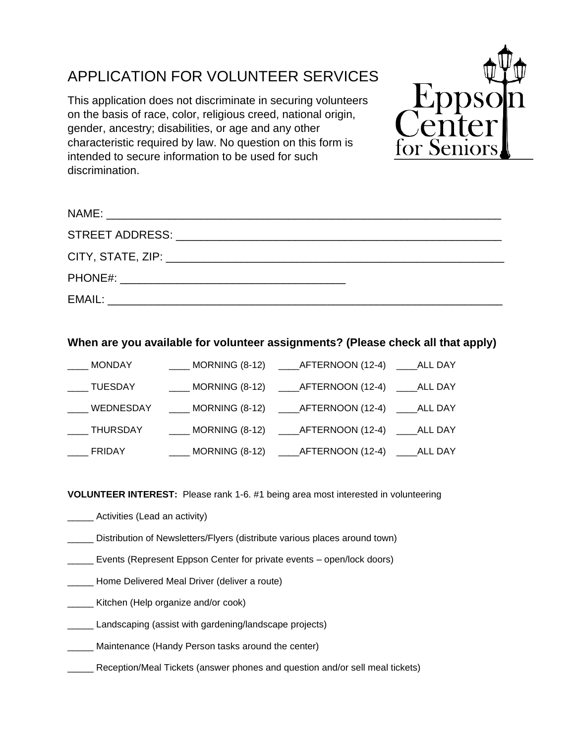## APPLICATION FOR VOLUNTEER SERVICES

This application does not discriminate in securing volunteers on the basis of race, color, religious creed, national origin, gender, ancestry; disabilities, or age and any other characteristic required by law. No question on this form is intended to secure information to be used for such discrimination.



## **When are you available for volunteer assignments? (Please check all that apply)**

| ____ MONDAY   | MORNING (8-12) ______ AFTERNOON (12-4) _____ ALL DAY                      |  |
|---------------|---------------------------------------------------------------------------|--|
| ____ TUESDAY  | ____ MORNING (8-12) _____AFTERNOON (12-4) _____ALL DAY                    |  |
|               | ____ WEDNESDAY _____ MORNING (8-12) _____AFTERNOON (12-4) _____ALL DAY    |  |
|               | ____ THURSDAY _______ MORNING (8-12) _____ AFTERNOON (12-4) _____ ALL DAY |  |
| <b>ERIDAY</b> | ____ MORNING (8-12) _____AFTERNOON (12-4) _____ALL DAY                    |  |

**VOLUNTEER INTEREST:** Please rank 1-6. #1 being area most interested in volunteering

- \_\_\_\_\_ Activities (Lead an activity)
- \_\_\_\_\_ Distribution of Newsletters/Flyers (distribute various places around town)
- Events (Represent Eppson Center for private events open/lock doors)
- \_\_\_\_\_ Home Delivered Meal Driver (deliver a route)
- **\_\_\_\_\_\_** Kitchen (Help organize and/or cook)
- **Landscaping (assist with gardening/landscape projects)**
- **Maintenance (Handy Person tasks around the center)**
- Reception/Meal Tickets (answer phones and question and/or sell meal tickets)